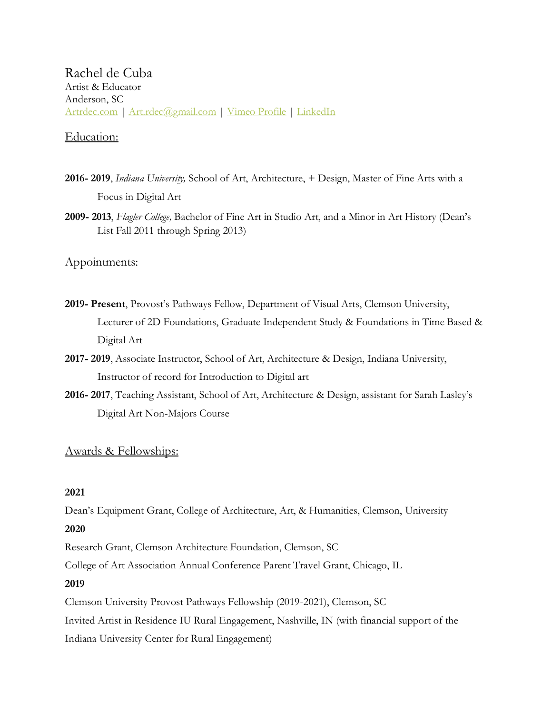Rachel de Cuba Artist & Educator Anderson, SC [Artrdec.com](http://artrdec.com/) | [Art.rdec@gmail.com](mailto:Art.rdec@gmail.com) | [Vimeo Profile](https://vimeo.com/user46425643) | [LinkedIn](https://www.linkedin.com/in/rachel-de-cuba-66365120a/)

# Education:

- **2016- 2019**, *Indiana University,* School of Art, Architecture, + Design, Master of Fine Arts with a Focus in Digital Art
- **2009- 2013**, *Flagler College,* Bachelor of Fine Art in Studio Art, and a Minor in Art History (Dean's List Fall 2011 through Spring 2013)

Appointments:

- **2019- Present**, Provost's Pathways Fellow, Department of Visual Arts, Clemson University, Lecturer of 2D Foundations, Graduate Independent Study & Foundations in Time Based & Digital Art
- **2017- 2019**, Associate Instructor, School of Art, Architecture & Design, Indiana University, Instructor of record for Introduction to Digital art
- **2016- 2017**, Teaching Assistant, School of Art, Architecture & Design, assistant for Sarah Lasley's Digital Art Non-Majors Course

# Awards & Fellowships:

### **2021**

Dean's Equipment Grant, College of Architecture, Art, & Humanities, Clemson, University **2020**

Research Grant, Clemson Architecture Foundation, Clemson, SC

College of Art Association Annual Conference Parent Travel Grant, Chicago, IL

# **2019**

Clemson University Provost Pathways Fellowship (2019-2021), Clemson, SC Invited Artist in Residence IU Rural Engagement, Nashville, IN (with financial support of the Indiana University Center for Rural Engagement)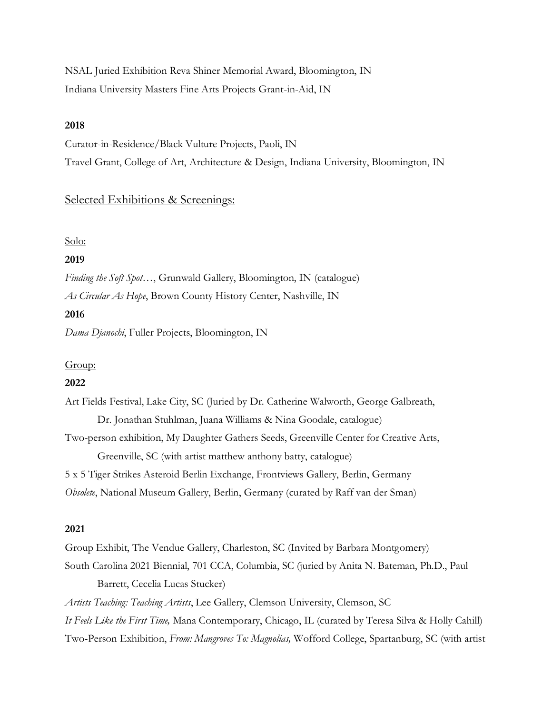NSAL Juried Exhibition Reva Shiner Memorial Award, Bloomington, IN Indiana University Masters Fine Arts Projects Grant-in-Aid, IN

### **2018**

Curator-in-Residence/Black Vulture Projects, Paoli, IN Travel Grant, College of Art, Architecture & Design, Indiana University, Bloomington, IN

# Selected Exhibitions & Screenings:

#### Solo:

### **2019**

*Finding the Soft Spot…*, Grunwald Gallery, Bloomington, IN (catalogue) *As Circular As Hope*, Brown County History Center, Nashville, IN

### **2016**

*Dama Djanochi*, Fuller Projects, Bloomington, IN

### Group:

### **2022**

Art Fields Festival, Lake City, SC (Juried by Dr. Catherine Walworth, George Galbreath, Dr. Jonathan Stuhlman, Juana Williams & Nina Goodale, catalogue)

Two-person exhibition, My Daughter Gathers Seeds, Greenville Center for Creative Arts, Greenville, SC (with artist matthew anthony batty, catalogue)

5 x 5 Tiger Strikes Asteroid Berlin Exchange, Frontviews Gallery, Berlin, Germany

*Obsolete*, National Museum Gallery, Berlin, Germany (curated by Raff van der Sman)

### **2021**

Group Exhibit, The Vendue Gallery, Charleston, SC (Invited by Barbara Montgomery) South Carolina 2021 Biennial, 701 CCA, Columbia, SC (juried by Anita N. Bateman, Ph.D., Paul Barrett, Cecelia Lucas Stucker)

*Artists Teaching: Teaching Artists*, Lee Gallery, Clemson University, Clemson, SC

*It Feels Like the First Time,* Mana Contemporary, Chicago, IL (curated by Teresa Silva & Holly Cahill)

Two-Person Exhibition, *From: Mangroves To: Magnolias,* Wofford College, Spartanburg, SC (with artist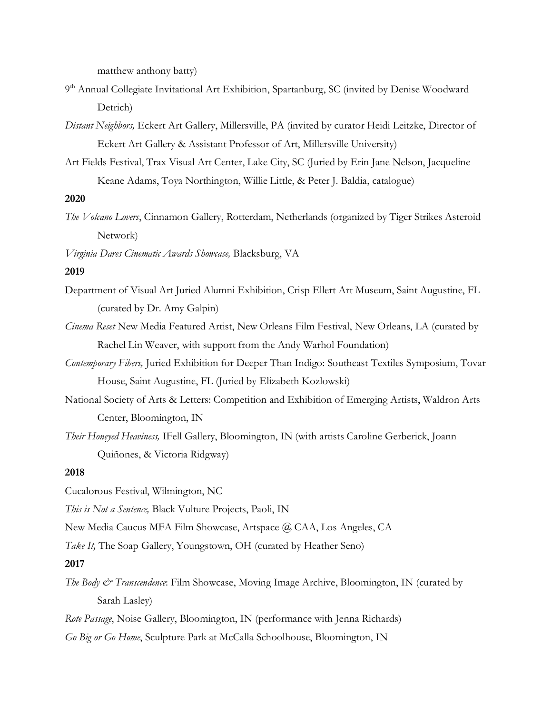matthew anthony batty)

- 9<sup>th</sup> Annual Collegiate Invitational Art Exhibition, Spartanburg, SC (invited by Denise Woodward Detrich)
- *Distant Neighbors,* Eckert Art Gallery, Millersville, PA (invited by curator Heidi Leitzke, Director of Eckert Art Gallery & Assistant Professor of Art, Millersville University)
- Art Fields Festival, Trax Visual Art Center, Lake City, SC (Juried by Erin Jane Nelson, Jacqueline Keane Adams, Toya Northington, Willie Little, & Peter J. Baldia, catalogue)

### **2020**

- *The Volcano Lovers*, Cinnamon Gallery, Rotterdam, Netherlands (organized by Tiger Strikes Asteroid Network)
- *Virginia Dares Cinematic Awards Showcase,* Blacksburg, VA

#### **2019**

- Department of Visual Art Juried Alumni Exhibition, Crisp Ellert Art Museum, Saint Augustine, FL (curated by Dr. Amy Galpin)
- *Cinema Reset* New Media Featured Artist, New Orleans Film Festival, New Orleans, LA (curated by Rachel Lin Weaver, with support from the Andy Warhol Foundation)
- *Contemporary Fibers,* Juried Exhibition for Deeper Than Indigo: Southeast Textiles Symposium, Tovar House, Saint Augustine, FL (Juried by Elizabeth Kozlowski)
- National Society of Arts & Letters: Competition and Exhibition of Emerging Artists, Waldron Arts Center, Bloomington, IN
- *Their Honeyed Heaviness,* IFell Gallery, Bloomington, IN (with artists Caroline Gerberick, Joann Quiñones, & Victoria Ridgway)

#### **2018**

Cucalorous Festival, Wilmington, NC

*This is Not a Sentence,* Black Vulture Projects, Paoli, IN

New Media Caucus MFA Film Showcase, Artspace @ CAA, Los Angeles, CA

*Take It,* The Soap Gallery, Youngstown, OH (curated by Heather Seno)

#### **2017**

*The Body & Transcendence*: Film Showcase, Moving Image Archive, Bloomington, IN (curated by Sarah Lasley)

*Rote Passage*, Noise Gallery, Bloomington, IN (performance with Jenna Richards)

*Go Big or Go Home*, Sculpture Park at McCalla Schoolhouse, Bloomington, IN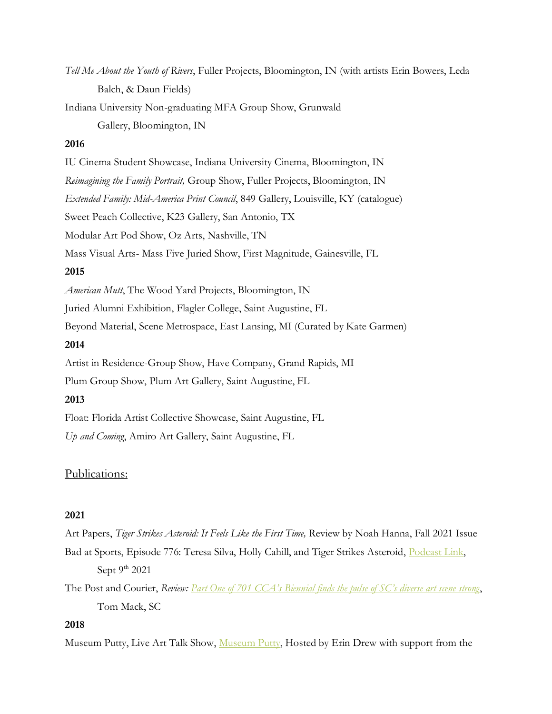*Tell Me About the Youth of Rivers*, Fuller Projects, Bloomington, IN (with artists Erin Bowers, Leda Balch, & Daun Fields)

Indiana University Non-graduating MFA Group Show, Grunwald

Gallery, Bloomington, IN

# **2016**

IU Cinema Student Showcase, Indiana University Cinema, Bloomington, IN *Reimagining the Family Portrait,* Group Show, Fuller Projects, Bloomington, IN *Extended Family: Mid-America Print Council*, 849 Gallery, Louisville, KY (catalogue) Sweet Peach Collective, K23 Gallery, San Antonio, TX Modular Art Pod Show, Oz Arts, Nashville, TN Mass Visual Arts- Mass Five Juried Show, First Magnitude, Gainesville, FL **2015** *American Mutt*, The Wood Yard Projects, Bloomington, IN Juried Alumni Exhibition, Flagler College, Saint Augustine, FL Beyond Material, Scene Metrospace, East Lansing, MI (Curated by Kate Garmen) **2014** Artist in Residence-Group Show, Have Company, Grand Rapids, MI Plum Group Show, Plum Art Gallery, Saint Augustine, FL

### **2013**

Float: Florida Artist Collective Showcase, Saint Augustine, FL

*Up and Coming*, Amiro Art Gallery, Saint Augustine, FL

# Publications:

# **2021**

Art Papers, *Tiger Strikes Asteroid: It Feels Like the First Time,* Review by Noah Hanna, Fall 2021 Issue

Bad at Sports, Episode 776: Teresa Silva, Holly Cahill, and Tiger Strikes Asteroid, [Podcast Link,](http://badatsports.com/2021/episode-776-teresa-silva-holly-cahill-and-tiger-strikes-asteroid/) Sept  $9<sup>th</sup> 2021$ 

The Post and Courier, *Review: [Part One of 701 CCA's Biennial finds the pulse of SC's diverse art scene strong](https://www.postandcourier.com/free-times/arts/review-part-one-of-701-ccas-biennial-finds-the-pulse-of-scs-diverse-art-scene/article_fc0e7e6c-2d17-11ec-b1a0-a38b7d411229.html?mc_cid=eb75bae020&mc_eid=e7fe3404b5)*, Tom Mack, SC

# **2018**

Museum Putty, Live Art Talk Show, [Museum Putty,](http://extremeappearances.blogspot.com/) Hosted by Erin Drew with support from the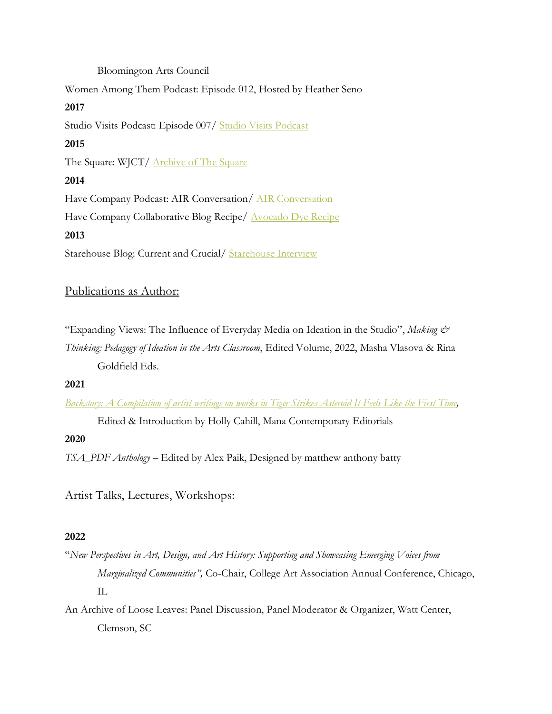## Bloomington Arts Council

Women Among Them Podcast: Episode 012, Hosted by Heather Seno

# **2017**

Studio Visits Podcast: Episode 007/ [Studio Visits Podcast](http://itunes.apple.com/us/podcast/studio-visits/id1253565886?mt=2)

# **2015**

The Square: WJCT/ **Archive of The Square** 

# **2014**

Have Company Podcast: AIR Conversation/ [AIR Conversation](http://have-company.com/podcast/2015/2/14/episode-eight-in-conversation-with-rachel-de-cuba)

Have Company Collaborative Blog Recipe/ **Avocado Dye Recipe** 

# **2013**

Starehouse Blog: Current and Crucial/ [Starehouse Interview](http://starehouse.wordpress.com/2013/04/17/current-and-crucial/)

# Publications as Author:

"Expanding Views: The Influence of Everyday Media on Ideation in the Studio", *Making &* 

*Thinking: Pedagogy of Ideation in the Arts Classroom*, Edited Volume, 2022, Masha Vlasova & Rina Goldfield Eds.

# **2021**

*[Backstory: A Compilation of artist writings on works in Tiger Strikes Asteroid It Feels Like the First Time,](https://www.manacontemporary.com/editorial/backstory-a-compilation-of-artist-writings-on-works-in-tiger-strikes-asteroid-it-feels-like-the-first-time/)*

Edited & Introduction by Holly Cahill, Mana Contemporary Editorials

# **2020**

*TSA\_PDF Anthology* – Edited by Alex Paik, Designed by matthew anthony batty

# Artist Talks, Lectures, Workshops:

# **2022**

"*New Perspectives in Art, Design, and Art History: Supporting and Showcasing Emerging Voices from Marginalized Communities",* Co-Chair, College Art Association Annual Conference, Chicago, IL

An Archive of Loose Leaves: Panel Discussion, Panel Moderator & Organizer, Watt Center, Clemson, SC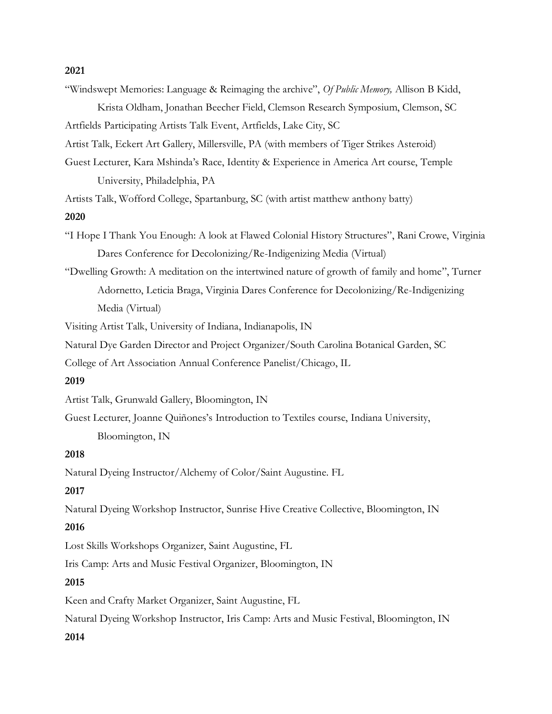#### **2021**

"Windswept Memories: Language & Reimaging the archive", *Of Public Memory,* Allison B Kidd,

Krista Oldham, Jonathan Beecher Field, Clemson Research Symposium, Clemson, SC Artfields Participating Artists Talk Event, Artfields, Lake City, SC

Artist Talk, Eckert Art Gallery, Millersville, PA (with members of Tiger Strikes Asteroid)

Guest Lecturer, Kara Mshinda's Race, Identity & Experience in America Art course, Temple University, Philadelphia, PA

Artists Talk, Wofford College, Spartanburg, SC (with artist matthew anthony batty)

#### **2020**

"I Hope I Thank You Enough: A look at Flawed Colonial History Structures", Rani Crowe, Virginia Dares Conference for Decolonizing/Re-Indigenizing Media (Virtual)

"Dwelling Growth: A meditation on the intertwined nature of growth of family and home", Turner Adornetto, Leticia Braga, Virginia Dares Conference for Decolonizing/Re-Indigenizing Media (Virtual)

Visiting Artist Talk, University of Indiana, Indianapolis, IN

Natural Dye Garden Director and Project Organizer/South Carolina Botanical Garden, SC

College of Art Association Annual Conference Panelist/Chicago, IL

### **2019**

Artist Talk, Grunwald Gallery, Bloomington, IN

Guest Lecturer, Joanne Quiñones's Introduction to Textiles course, Indiana University, Bloomington, IN

### **2018**

Natural Dyeing Instructor/Alchemy of Color/Saint Augustine. FL

### **2017**

Natural Dyeing Workshop Instructor, Sunrise Hive Creative Collective, Bloomington, IN

### **2016**

Lost Skills Workshops Organizer, Saint Augustine, FL

Iris Camp: Arts and Music Festival Organizer, Bloomington, IN

# **2015**

Keen and Crafty Market Organizer, Saint Augustine, FL

Natural Dyeing Workshop Instructor, Iris Camp: Arts and Music Festival, Bloomington, IN

### **2014**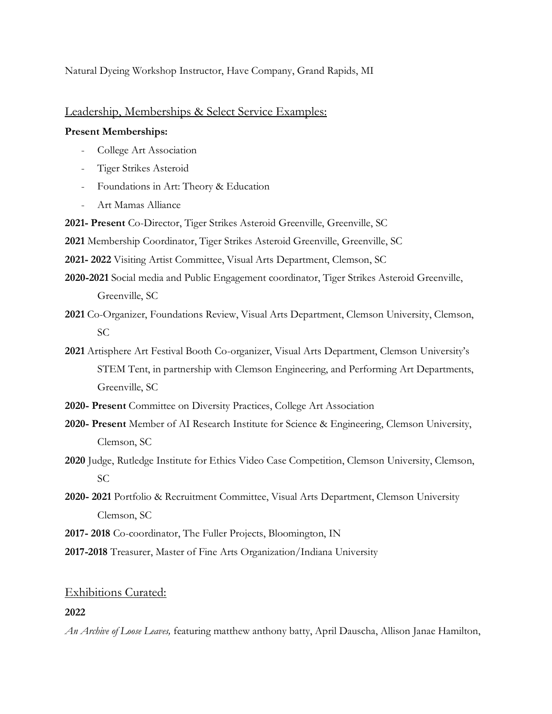Natural Dyeing Workshop Instructor, Have Company, Grand Rapids, MI

### Leadership, Memberships & Select Service Examples:

### **Present Memberships:**

- College Art Association
- Tiger Strikes Asteroid
- Foundations in Art: Theory & Education
- Art Mamas Alliance

**2021- Present** Co-Director, Tiger Strikes Asteroid Greenville, Greenville, SC

**2021** Membership Coordinator, Tiger Strikes Asteroid Greenville, Greenville, SC

**2021- 2022** Visiting Artist Committee, Visual Arts Department, Clemson, SC

- **2020-2021** Social media and Public Engagement coordinator, Tiger Strikes Asteroid Greenville, Greenville, SC
- **2021** Co-Organizer, Foundations Review, Visual Arts Department, Clemson University, Clemson, SC
- **2021** Artisphere Art Festival Booth Co-organizer, Visual Arts Department, Clemson University's STEM Tent, in partnership with Clemson Engineering, and Performing Art Departments, Greenville, SC
- **2020- Present** Committee on Diversity Practices, College Art Association
- **2020- Present** Member of AI Research Institute for Science & Engineering, Clemson University, Clemson, SC
- **2020** Judge, Rutledge Institute for Ethics Video Case Competition, Clemson University, Clemson, SC
- **2020- 2021** Portfolio & Recruitment Committee, Visual Arts Department, Clemson University Clemson, SC
- **2017- 2018** Co-coordinator, The Fuller Projects, Bloomington, IN

**2017-2018** Treasurer, Master of Fine Arts Organization/Indiana University

### Exhibitions Curated:

#### **2022**

*An Archive of Loose Leaves,* featuring matthew anthony batty, April Dauscha, Allison Janae Hamilton,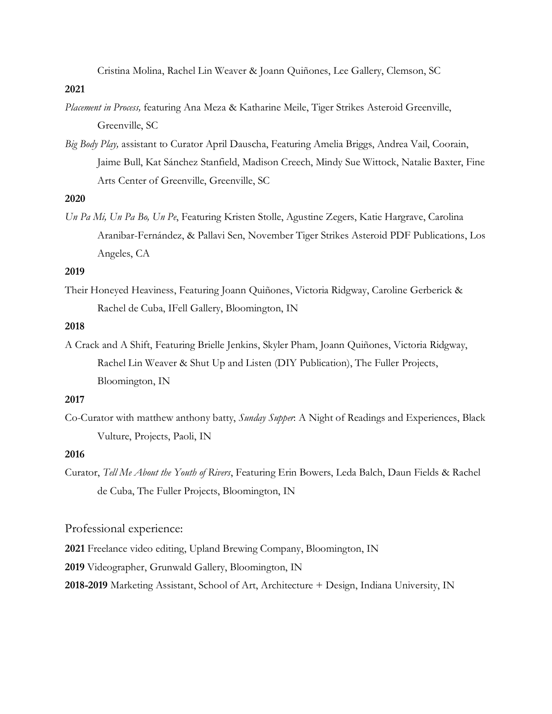Cristina Molina, Rachel Lin Weaver & Joann Quiñones, Lee Gallery, Clemson, SC

### **2021**

- *Placement in Process,* featuring Ana Meza & Katharine Meile, Tiger Strikes Asteroid Greenville, Greenville, SC
- *Big Body Play,* assistant to Curator April Dauscha, Featuring Amelia Briggs, Andrea Vail, Coorain, Jaime Bull, Kat Sánchez Stanfield, Madison Creech, Mindy Sue Wittock, Natalie Baxter, Fine Arts Center of Greenville, Greenville, SC

# **2020**

*Un Pa Mi, Un Pa Bo, Un Pe*, Featuring Kristen Stolle, Agustine Zegers, Katie Hargrave, Carolina Aranibar-Fernández, & Pallavi Sen, November Tiger Strikes Asteroid PDF Publications, Los Angeles, CA

### **2019**

Their Honeyed Heaviness, Featuring Joann Quiñones, Victoria Ridgway, Caroline Gerberick & Rachel de Cuba, IFell Gallery, Bloomington, IN

### **2018**

A Crack and A Shift, Featuring Brielle Jenkins, Skyler Pham, Joann Quiñones, Victoria Ridgway, Rachel Lin Weaver & Shut Up and Listen (DIY Publication), The Fuller Projects, Bloomington, IN

### **2017**

Co-Curator with matthew anthony batty, *Sunday Supper*: A Night of Readings and Experiences, Black Vulture, Projects, Paoli, IN

### **2016**

Curator, *Tell Me About the Youth of Rivers*, Featuring Erin Bowers, Leda Balch, Daun Fields & Rachel de Cuba, The Fuller Projects, Bloomington, IN

Professional experience:

**2021** Freelance video editing, Upland Brewing Company, Bloomington, IN

**2019** Videographer, Grunwald Gallery, Bloomington, IN

**2018-2019** Marketing Assistant, School of Art, Architecture + Design, Indiana University, IN